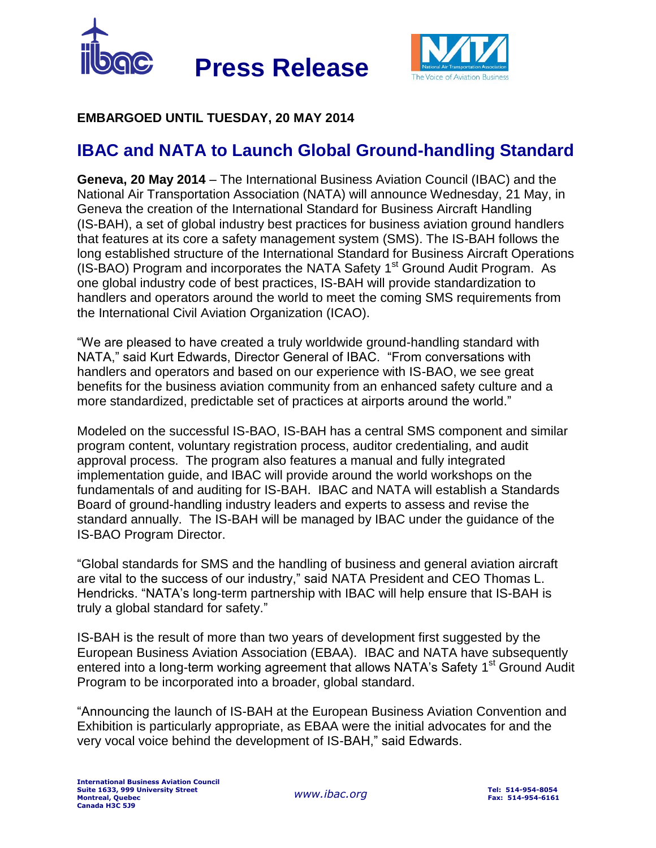



## **EMBARGOED UNTIL TUESDAY, 20 MAY 2014**

## **IBAC and NATA to Launch Global Ground-handling Standard**

**Geneva, 20 May 2014** – The International Business Aviation Council (IBAC) and the National Air Transportation Association (NATA) will announce Wednesday, 21 May, in Geneva the creation of the International Standard for Business Aircraft Handling (IS-BAH), a set of global industry best practices for business aviation ground handlers that features at its core a safety management system (SMS). The IS-BAH follows the long established structure of the International Standard for Business Aircraft Operations (IS-BAO) Program and incorporates the NATA Safety 1<sup>st</sup> Ground Audit Program. As one global industry code of best practices, IS-BAH will provide standardization to handlers and operators around the world to meet the coming SMS requirements from the International Civil Aviation Organization (ICAO).

"We are pleased to have created a truly worldwide ground-handling standard with NATA," said Kurt Edwards, Director General of IBAC. "From conversations with handlers and operators and based on our experience with IS-BAO, we see great benefits for the business aviation community from an enhanced safety culture and a more standardized, predictable set of practices at airports around the world."

Modeled on the successful IS-BAO, IS-BAH has a central SMS component and similar program content, voluntary registration process, auditor credentialing, and audit approval process. The program also features a manual and fully integrated implementation guide, and IBAC will provide around the world workshops on the fundamentals of and auditing for IS-BAH. IBAC and NATA will establish a Standards Board of ground-handling industry leaders and experts to assess and revise the standard annually. The IS-BAH will be managed by IBAC under the guidance of the IS-BAO Program Director.

"Global standards for SMS and the handling of business and general aviation aircraft are vital to the success of our industry," said NATA President and CEO Thomas L. Hendricks. "NATA's long-term partnership with IBAC will help ensure that IS-BAH is truly a global standard for safety."

IS-BAH is the result of more than two years of development first suggested by the European Business Aviation Association (EBAA). IBAC and NATA have subsequently entered into a long-term working agreement that allows NATA's Safety 1<sup>st</sup> Ground Audit Program to be incorporated into a broader, global standard.

"Announcing the launch of IS-BAH at the European Business Aviation Convention and Exhibition is particularly appropriate, as EBAA were the initial advocates for and the very vocal voice behind the development of IS-BAH," said Edwards.